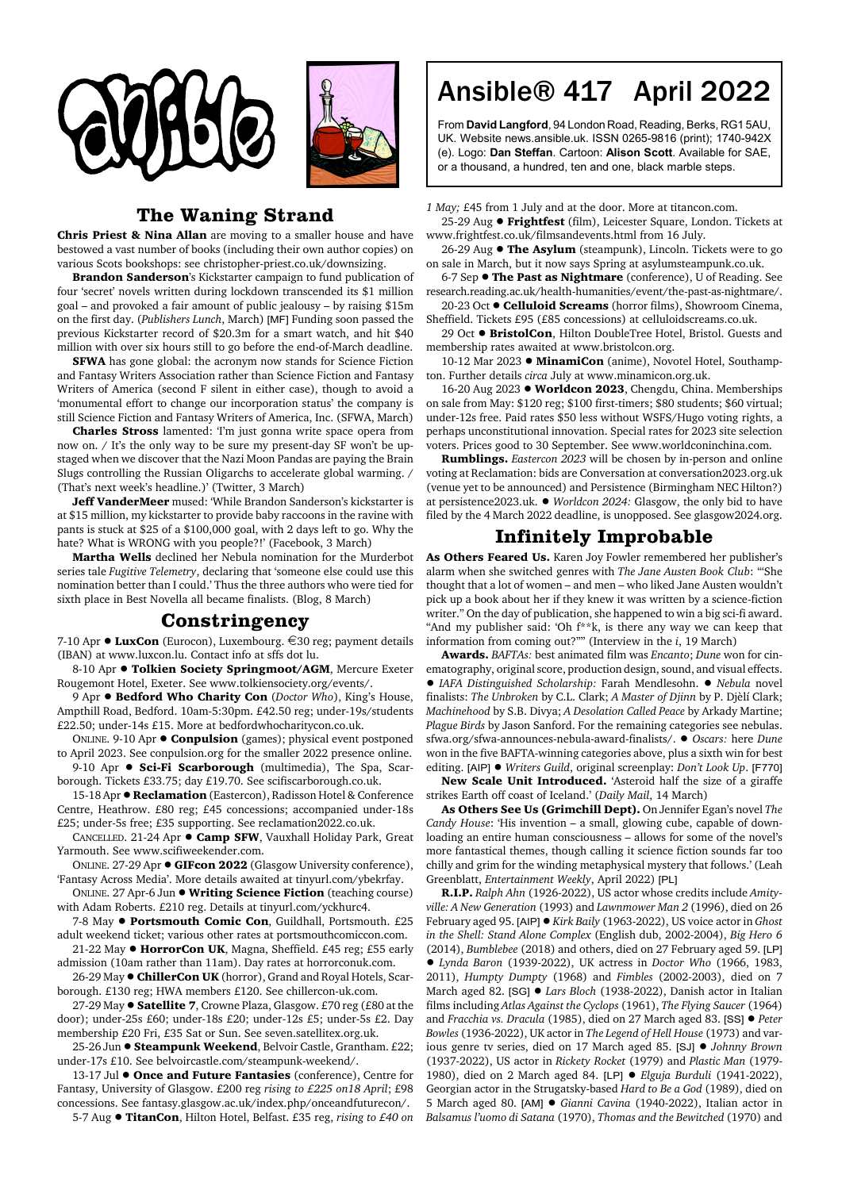



## **The Waning Strand**

**Chris Priest & Nina Allan** are moving to a smaller house and have bestowed a vast number of books (including their own author copies) on various Scots bookshops: see christopher-priest.co.uk/downsizing.

**Brandon Sanderson**'s Kickstarter campaign to fund publication of four 'secret' novels written during lockdown transcended its \$1 million goal – and provoked a fair amount of public jealousy – by raising \$15m on the first day. (*Publishers Lunch*, March) [MF] Funding soon passed the previous Kickstarter record of \$20.3m for a smart watch, and hit \$40 million with over six hours still to go before the end-of-March deadline.

**SFWA** has gone global: the acronym now stands for Science Fiction and Fantasy Writers Association rather than Science Fiction and Fantasy Writers of America (second F silent in either case), though to avoid a 'monumental effort to change our incorporation status' the company is still Science Fiction and Fantasy Writers of America, Inc. (SFWA, March)

**Charles Stross** lamented: 'I'm just gonna write space opera from now on. / It's the only way to be sure my present-day SF won't be upstaged when we discover that the Nazi Moon Pandas are paying the Brain Slugs controlling the Russian Oligarchs to accelerate global warming. / (That's next week's headline.)' (Twitter, 3 March)

**Jeff VanderMeer** mused: 'While Brandon Sanderson's kickstarter is at \$15 million, my kickstarter to provide baby raccoons in the ravine with pants is stuck at \$25 of a \$100,000 goal, with 2 days left to go. Why the hate? What is WRONG with you people?!' (Facebook, 3 March)

**Martha Wells** declined her Nebula nomination for the Murderbot series tale *Fugitive Telemetry*, declaring that 'someone else could use this nomination better than I could.' Thus the three authors who were tied for sixth place in Best Novella all became finalists. (Blog, 8 March)

## **Constringency**

7-10 Apr ● LuxCon (Eurocon), Luxembourg. €30 reg; payment details (IBAN) at www.luxcon.lu. Contact info at sffs dot lu.

8-10 Apr  $\bullet$  Tolkien Society Springmoot/AGM, Mercure Exeter Rougemont Hotel, Exeter. See www.tolkiensociety.org/events/.

9 Apr  $\bullet$  **Bedford Who Charity Con** (*Doctor Who*), King's House, Ampthill Road, Bedford. 10am-5:30pm. £42.50 reg; under-19s/students £22.50; under-14s £15. More at bedfordwhocharitycon.co.uk.

ONLINE. 9-10 Apr  $\bullet$  **Conpulsion** (games); physical event postponed to April 2023. See conpulsion.org for the smaller 2022 presence online.

9-10 Apr  $\bullet$  **Sci-Fi Scarborough** (multimedia), The Spa, Scarborough. Tickets £33.75; day £19.70. See scifiscarborough.co.uk.

15-18 Apr  $\bullet$  **Reclamation** (Eastercon), Radisson Hotel & Conference Centre, Heathrow. £80 reg; £45 concessions; accompanied under-18s £25; under-5s free; £35 supporting. See reclamation2022.co.uk.

CANCELLED. 21-24 Apr  $\bullet$  Camp SFW, Vauxhall Holiday Park, Great Yarmouth. See www.scifiweekender.com.

ONLINE. 27-29 Apr ! **GIFcon 2022** (Glasgow University conference), 'Fantasy Across Media'. More details awaited at tinyurl.com/ybekrfay.

ONLINE. 27 Apr-6 Jun ! **Writing Science Fiction** (teaching course) with Adam Roberts. £210 reg. Details at tinyurl.com/yckhurc4.

7-8 May  $\bullet$  **Portsmouth Comic Con**, Guildhall, Portsmouth. £25 adult weekend ticket; various other rates at portsmouthcomiccon.com.

21-22 May  $\bullet$  **HorrorCon UK**, Magna, Sheffield. £45 reg; £55 early admission (10am rather than 11am). Day rates at horrorconuk.com.

26-29 May <sup>·</sup> ChillerCon UK (horror), Grand and Royal Hotels, Scarborough. £130 reg; HWA members £120. See chillercon-uk.com.

27-29 May ! **Satellite 7**, Crowne Plaza, Glasgow. £70 reg (£80 at the door); under-25s £60; under-18s £20; under-12s £5; under-5s £2. Day membership £20 Fri, £35 Sat or Sun. See seven.satellitex.org.uk.

25-26 Jun · Steampunk Weekend, Belvoir Castle, Grantham. £22; under-17s £10. See belvoircastle.com/steampunk-weekend/.

13-17 Jul  $\bullet$  **Once and Future Fantasies** (conference), Centre for Fantasy, University of Glasgow. £200 reg *rising to £225 on18 April*; £98 concessions. See fantasy.glasgow.ac.uk/index.php/onceandfuturecon/.

5-7 Aug ! **TitanCon**, Hilton Hotel, Belfast. £35 reg, *rising to £40 on*

## Ansible® 417 April 2022

From **David Langford**, 94 London Road, Reading, Berks, RG1 5AU, UK. Website news.ansible.uk. ISSN 0265-9816 (print); 1740-942X (e). Logo: **Dan Steffan**. Cartoon: **Alison Scott**. Available for SAE, or a thousand, a hundred, ten and one, black marble steps.

*1 May;* £45 from 1 July and at the door. More at titancon.com.

25-29 Aug ! **Frightfest** (film), Leicester Square, London. Tickets at www.frightfest.co.uk/filmsandevents.html from 16 July.

26-29 Aug  $\bullet$  **The Asylum** (steampunk), Lincoln. Tickets were to go on sale in March, but it now says Spring at asylumsteampunk.co.uk.

6-7 Sep  $\bullet$  **The Past as Nightmare** (conference), U of Reading. See research.reading.ac.uk/health-humanities/event/the-past-as-nightmare/.

20-23 Oct ! **Celluloid Screams** (horror films), Showroom Cinema, Sheffield. Tickets £95 (£85 concessions) at celluloidscreams.co.uk.

29 Oct ● BristolCon, Hilton DoubleTree Hotel, Bristol. Guests and membership rates awaited at www.bristolcon.org.

10-12 Mar 2023 . MinamiCon (anime), Novotel Hotel, Southampton. Further details *circa* July at www.minamicon.org.uk.

16-20 Aug 2023 ! **Worldcon 2023**, Chengdu, China. Memberships on sale from May: \$120 reg; \$100 first-timers; \$80 students; \$60 virtual; under-12s free. Paid rates \$50 less without WSFS/Hugo voting rights, a perhaps unconstitutional innovation. Special rates for 2023 site selection voters. Prices good to 30 September. See www.worldconinchina.com.

**Rumblings.** *Eastercon 2023* will be chosen by in-person and online voting at Reclamation: bids are Conversation at conversation2023.org.uk (venue yet to be announced) and Persistence (Birmingham NEC Hilton?) at persistence2023.uk. ! *Worldcon 2024:* Glasgow, the only bid to have filed by the 4 March 2022 deadline, is unopposed. See glasgow2024.org.

## **Infinitely Improbable**

**As Others Feared Us.** Karen Joy Fowler remembered her publisher's alarm when she switched genres with *The Jane Austen Book Club*: '"She thought that a lot of women – and men – who liked Jane Austen wouldn't pick up a book about her if they knew it was written by a science-fiction writer." On the day of publication, she happened to win a big sci-fi award. "And my publisher said: 'Oh f\*\*k, is there any way we can keep that information from coming out?'"' (Interview in the *i*, 19 March)

**Awards.** *BAFTAs:* best animated film was *Encanto*; *Dune* won for cinematography, original score, production design, sound, and visual effects. ! *IAFA Distinguished Scholarship:* Farah Mendlesohn. ! *Nebula* novel finalists: *The Unbroken* by C.L. Clark; *A Master of Djinn* by P. Djèlí Clark; *Machinehood* by S.B. Divya; *A Desolation Called Peace* by Arkady Martine; *Plague Birds* by Jason Sanford. For the remaining categories see nebulas. sfwa.org/sfwa-announces-nebula-award-finalists/. ! *Oscars:* here *Dune* won in the five BAFTA-winning categories above, plus a sixth win for best editing. [AIP] ! *Writers Guild*, original screenplay: *Don't Look Up*. [F770]

**New Scale Unit Introduced.** 'Asteroid half the size of a giraffe strikes Earth off coast of Iceland.' (*Daily Mail*, 14 March)

**As Others See Us (Grimchill Dept).** On Jennifer Egan's novel *The Candy House*: 'His invention – a small, glowing cube, capable of downloading an entire human consciousness – allows for some of the novel's more fantastical themes, though calling it science fiction sounds far too chilly and grim for the winding metaphysical mystery that follows.' (Leah Greenblatt, *Entertainment Weekly*, April 2022) [PL]

**R.I.P.** *Ralph Ahn* (1926-2022), US actor whose credits include *Amityville: A New Generation* (1993) and *Lawnmower Man 2* (1996), died on 26 February aged 95. [AIP] ! *Kirk Baily* (1963-2022), US voice actor in *Ghost in the Shell: Stand Alone Complex* (English dub, 2002-2004), *Big Hero 6* (2014), *Bumblebee* (2018) and others, died on 27 February aged 59. [LP] ! *Lynda Baron* (1939-2022), UK actress in *Doctor Who* (1966, 1983, 2011), *Humpty Dumpty* (1968) and *Fimbles* (2002-2003), died on 7 March aged 82. [SG] ● *Lars Bloch* (1938-2022), Danish actor in Italian films including *Atlas Against the Cyclops* (1961), *The Flying Saucer* (1964) and *Fracchia vs. Dracula* (1985), died on 27 March aged 83. [SS] ! *Peter Bowles* (1936-2022), UK actor in *The Legend of Hell House* (1973) and various genre tv series, died on 17 March aged 85. [SJ] ! *Johnny Brown* (1937-2022), US actor in *Rickety Rocket* (1979) and *Plastic Man* (1979- 1980), died on 2 March aged 84. [LP] ! *Elguja Burduli* (1941-2022), Georgian actor in the Strugatsky-based *Hard to Be a God* (1989), died on 5 March aged 80. [AM] ! *Gianni Cavina* (1940-2022), Italian actor in *Balsamus l'uomo di Satana* (1970), *Thomas and the Bewitched* (1970) and